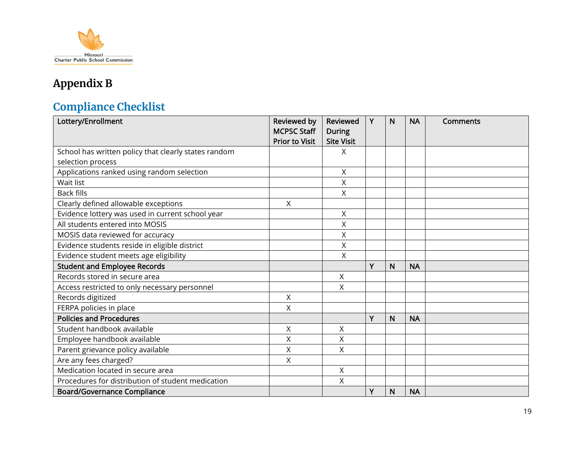

## **Appendix B**

## **Compliance Checklist**

| Lottery/Enrollment                                   | Reviewed by           | Reviewed          | Y | N            | <b>NA</b> | <b>Comments</b> |
|------------------------------------------------------|-----------------------|-------------------|---|--------------|-----------|-----------------|
|                                                      | <b>MCPSC Staff</b>    | <b>During</b>     |   |              |           |                 |
|                                                      | <b>Prior to Visit</b> | <b>Site Visit</b> |   |              |           |                 |
| School has written policy that clearly states random |                       | X                 |   |              |           |                 |
| selection process                                    |                       |                   |   |              |           |                 |
| Applications ranked using random selection           |                       | $\mathsf{X}$      |   |              |           |                 |
| Wait list                                            |                       | Χ                 |   |              |           |                 |
| <b>Back fills</b>                                    |                       | Χ                 |   |              |           |                 |
| Clearly defined allowable exceptions                 | X                     |                   |   |              |           |                 |
| Evidence lottery was used in current school year     |                       | X                 |   |              |           |                 |
| All students entered into MOSIS                      |                       | Χ                 |   |              |           |                 |
| MOSIS data reviewed for accuracy                     |                       | Χ                 |   |              |           |                 |
| Evidence students reside in eligible district        |                       | X                 |   |              |           |                 |
| Evidence student meets age eligibility               |                       | Χ                 |   |              |           |                 |
| <b>Student and Employee Records</b>                  |                       |                   | Y | $\mathsf{N}$ | <b>NA</b> |                 |
| Records stored in secure area                        |                       | Χ                 |   |              |           |                 |
| Access restricted to only necessary personnel        |                       | X                 |   |              |           |                 |
| Records digitized                                    | X                     |                   |   |              |           |                 |
| FERPA policies in place                              | Χ                     |                   |   |              |           |                 |
| <b>Policies and Procedures</b>                       |                       |                   | Ÿ | N            | <b>NA</b> |                 |
| Student handbook available                           | $\sf X$               | X                 |   |              |           |                 |
| Employee handbook available                          | Χ                     | Χ                 |   |              |           |                 |
| Parent grievance policy available                    | Χ                     | Χ                 |   |              |           |                 |
| Are any fees charged?                                | Χ                     |                   |   |              |           |                 |
| Medication located in secure area                    |                       | Χ                 |   |              |           |                 |
| Procedures for distribution of student medication    |                       | Χ                 |   |              |           |                 |
| <b>Board/Governance Compliance</b>                   |                       |                   | Y | $\mathsf{N}$ | <b>NA</b> |                 |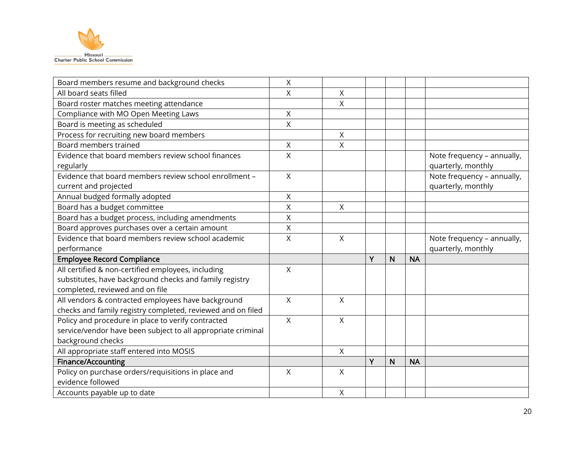

| Board members resume and background checks                                      | X                  |              |   |              |           |                                                  |
|---------------------------------------------------------------------------------|--------------------|--------------|---|--------------|-----------|--------------------------------------------------|
| All board seats filled                                                          | $\mathsf{X}$       | X            |   |              |           |                                                  |
| Board roster matches meeting attendance                                         |                    | Χ            |   |              |           |                                                  |
| Compliance with MO Open Meeting Laws                                            | $\mathsf{X}$       |              |   |              |           |                                                  |
| Board is meeting as scheduled                                                   | X                  |              |   |              |           |                                                  |
| Process for recruiting new board members                                        |                    | $\mathsf{X}$ |   |              |           |                                                  |
| Board members trained                                                           | $\mathsf{X}$       | $\sf X$      |   |              |           |                                                  |
| Evidence that board members review school finances<br>regularly                 | X                  |              |   |              |           | Note frequency - annually,<br>quarterly, monthly |
| Evidence that board members review school enrollment -<br>current and projected | $\mathsf{X}$       |              |   |              |           | Note frequency - annually,<br>quarterly, monthly |
| Annual budged formally adopted                                                  | $\mathsf{X}$       |              |   |              |           |                                                  |
| Board has a budget committee                                                    | Χ                  | X            |   |              |           |                                                  |
| Board has a budget process, including amendments                                | $\mathsf{X}% _{0}$ |              |   |              |           |                                                  |
| Board approves purchases over a certain amount                                  | $\mathsf{X}$       |              |   |              |           |                                                  |
| Evidence that board members review school academic                              | X                  | X            |   |              |           | Note frequency - annually,                       |
| performance                                                                     |                    |              |   |              |           | quarterly, monthly                               |
| <b>Employee Record Compliance</b>                                               |                    |              | Y | $\mathsf{N}$ | <b>NA</b> |                                                  |
| All certified & non-certified employees, including                              | $\mathsf{X}$       |              |   |              |           |                                                  |
| substitutes, have background checks and family registry                         |                    |              |   |              |           |                                                  |
| completed, reviewed and on file                                                 |                    |              |   |              |           |                                                  |
| All vendors & contracted employees have background                              | $\mathsf{X}$       | $\mathsf{X}$ |   |              |           |                                                  |
| checks and family registry completed, reviewed and on filed                     |                    |              |   |              |           |                                                  |
| Policy and procedure in place to verify contracted                              | $\mathsf{X}$       | $\sf X$      |   |              |           |                                                  |
| service/vendor have been subject to all appropriate criminal                    |                    |              |   |              |           |                                                  |
| background checks                                                               |                    |              |   |              |           |                                                  |
| All appropriate staff entered into MOSIS                                        |                    | $\mathsf{X}$ |   |              |           |                                                  |
| Finance/Accounting                                                              |                    |              | Y | $\mathsf{N}$ | <b>NA</b> |                                                  |
| Policy on purchase orders/requisitions in place and                             | $\mathsf{X}$       | $\mathsf{X}$ |   |              |           |                                                  |
| evidence followed                                                               |                    |              |   |              |           |                                                  |
| Accounts payable up to date                                                     |                    | Χ            |   |              |           |                                                  |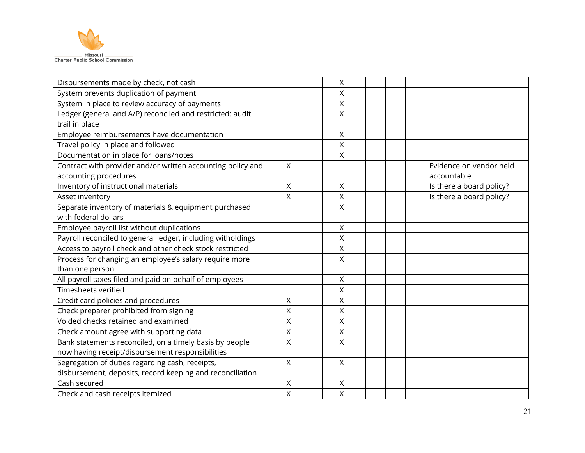

| Disbursements made by check, not cash                       |                         | X              |                          |
|-------------------------------------------------------------|-------------------------|----------------|--------------------------|
| System prevents duplication of payment                      |                         | $\mathsf X$    |                          |
| System in place to review accuracy of payments              |                         | Χ              |                          |
| Ledger (general and A/P) reconciled and restricted; audit   |                         | $\sf X$        |                          |
| trail in place                                              |                         |                |                          |
| Employee reimbursements have documentation                  |                         | $\mathsf{X}$   |                          |
| Travel policy in place and followed                         |                         | $\mathsf X$    |                          |
| Documentation in place for loans/notes                      |                         | $\sf X$        |                          |
| Contract with provider and/or written accounting policy and | $\mathsf{X}$            |                | Evidence on vendor held  |
| accounting procedures                                       |                         |                | accountable              |
| Inventory of instructional materials                        | X                       | X              | Is there a board policy? |
| Asset inventory                                             | $\mathsf{X}$            | $\mathsf X$    | Is there a board policy? |
| Separate inventory of materials & equipment purchased       |                         | $\sf X$        |                          |
| with federal dollars                                        |                         |                |                          |
| Employee payroll list without duplications                  |                         | $\mathsf X$    |                          |
| Payroll reconciled to general ledger, including witholdings |                         | $\mathsf X$    |                          |
| Access to payroll check and other check stock restricted    |                         | $\mathsf X$    |                          |
| Process for changing an employee's salary require more      |                         | $\sf X$        |                          |
| than one person                                             |                         |                |                          |
| All payroll taxes filed and paid on behalf of employees     |                         | Χ              |                          |
| Timesheets verified                                         |                         | $\sf X$        |                          |
| Credit card policies and procedures                         | $\mathsf{X}$            | $\sf X$        |                          |
| Check preparer prohibited from signing                      | Χ                       | X              |                          |
| Voided checks retained and examined                         | $\overline{X}$          | $\overline{X}$ |                          |
| Check amount agree with supporting data                     | Χ                       | X              |                          |
| Bank statements reconciled, on a timely basis by people     | $\mathsf{X}$            | X              |                          |
| now having receipt/disbursement responsibilities            |                         |                |                          |
| Segregation of duties regarding cash, receipts,             | $\mathsf{X}$            | $\sf X$        |                          |
| disbursement, deposits, record keeping and reconciliation   |                         |                |                          |
| Cash secured                                                | Χ                       | Χ              |                          |
| Check and cash receipts itemized                            | $\overline{\mathsf{X}}$ | $\sf X$        |                          |